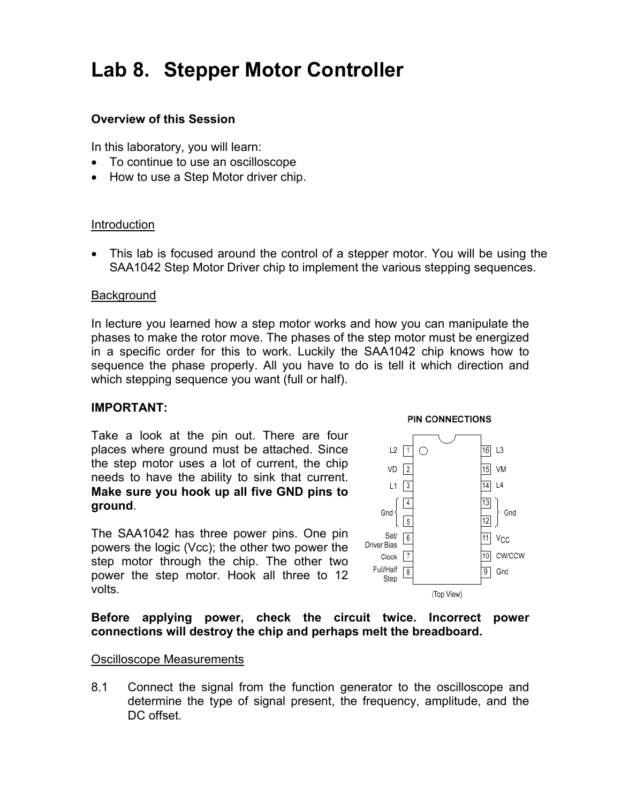# **Lab 8. Stepper Motor Controller**

# **Overview of this Session**

In this laboratory, you will learn:

- To continue to use an oscilloscope
- How to use a Step Motor driver chip.

## Introduction

• This lab is focused around the control of a stepper motor. You will be using the SAA1042 Step Motor Driver chip to implement the various stepping sequences.

## **Background**

In lecture you learned how a step motor works and how you can manipulate the phases to make the rotor move. The phases of the step motor must be energized in a specific order for this to work. Luckily the SAA1042 chip knows how to sequence the phase properly. All you have to do is tell it which direction and which stepping sequence you want (full or half).

#### **IMPORTANT:**

Take a look at the pin out. There are four places where ground must be attached. Since the step motor uses a lot of current, the chip needs to have the ability to sink that current. **Make sure you hook up all five GND pins to ground**.

The SAA1042 has three power pins. One pin powers the logic (Vcc); the other two power the step motor through the chip. The other two power the step motor. Hook all three to 12 volts.



### **Before applying power, check the circuit twice. Incorrect power connections will destroy the chip and perhaps melt the breadboard.**

#### Oscilloscope Measurements

8.1 Connect the signal from the function generator to the oscilloscope and determine the type of signal present, the frequency, amplitude, and the DC offset.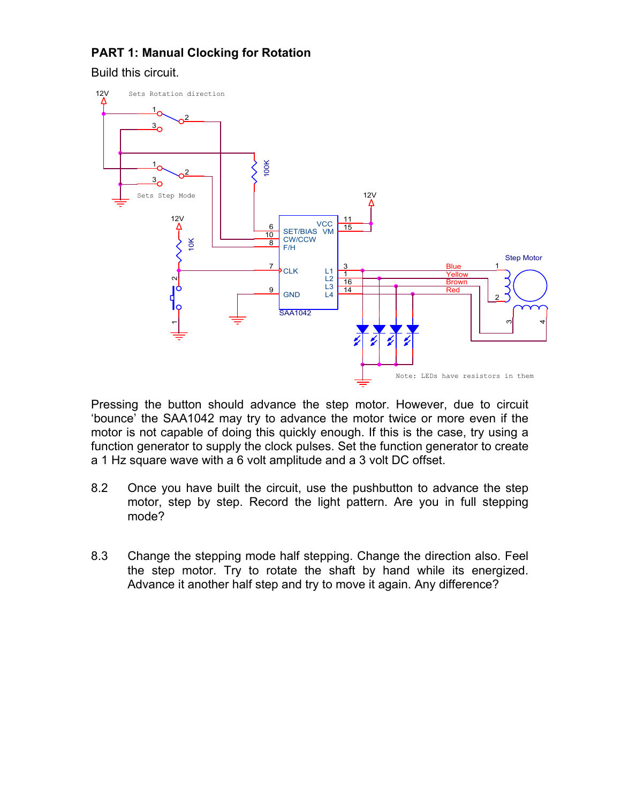# **PART 1: Manual Clocking for Rotation**

Build this circuit.



Pressing the button should advance the step motor. However, due to circuit 'bounce' the SAA1042 may try to advance the motor twice or more even if the motor is not capable of doing this quickly enough. If this is the case, try using a function generator to supply the clock pulses. Set the function generator to create a 1 Hz square wave with a 6 volt amplitude and a 3 volt DC offset.

- 8.2 Once you have built the circuit, use the pushbutton to advance the step motor, step by step. Record the light pattern. Are you in full stepping mode?
- 8.3 Change the stepping mode half stepping. Change the direction also. Feel the step motor. Try to rotate the shaft by hand while its energized. Advance it another half step and try to move it again. Any difference?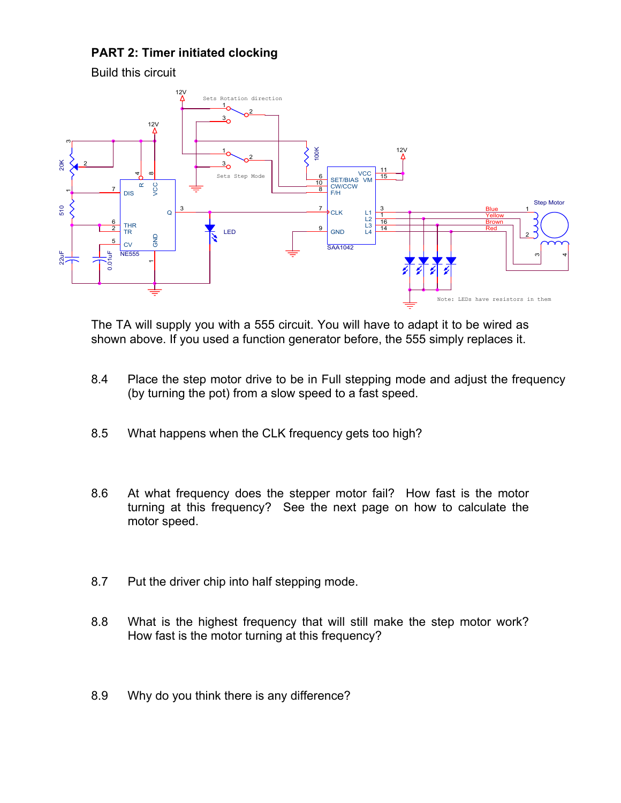# **PART 2: Timer initiated clocking**



The TA will supply you with a 555 circuit. You will have to adapt it to be wired as shown above. If you used a function generator before, the 555 simply replaces it.

- 8.4 Place the step motor drive to be in Full stepping mode and adjust the frequency (by turning the pot) from a slow speed to a fast speed.
- 8.5 What happens when the CLK frequency gets too high?
- 8.6 At what frequency does the stepper motor fail? How fast is the motor turning at this frequency? See the next page on how to calculate the motor speed.
- 8.7 Put the driver chip into half stepping mode.
- 8.8 What is the highest frequency that will still make the step motor work? How fast is the motor turning at this frequency?
- 8.9 Why do you think there is any difference?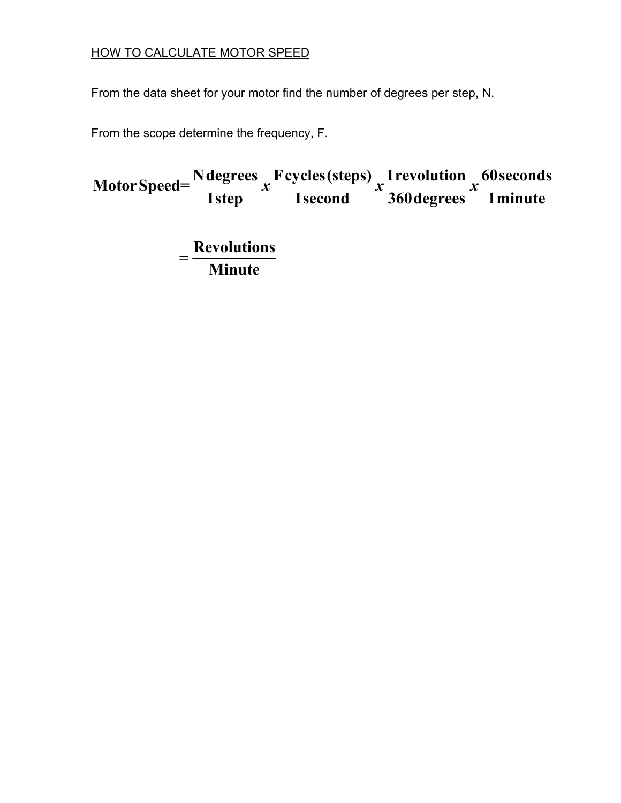# HOW TO CALCULATE MOTOR SPEED

From the data sheet for your motor find the number of degrees per step, N.

From the scope determine the frequency, F.

**Ndegrees Fcycles(steps) 1revolution 60seconds MotorSpeed= 1step 1second 360degrees 1minute Revolutions Minute**  $x \frac{P(y \cos(\text{step}))}{x} x \frac{P(y \cos(\text{step}))}{P(y \cos(\text{step}))} x$ =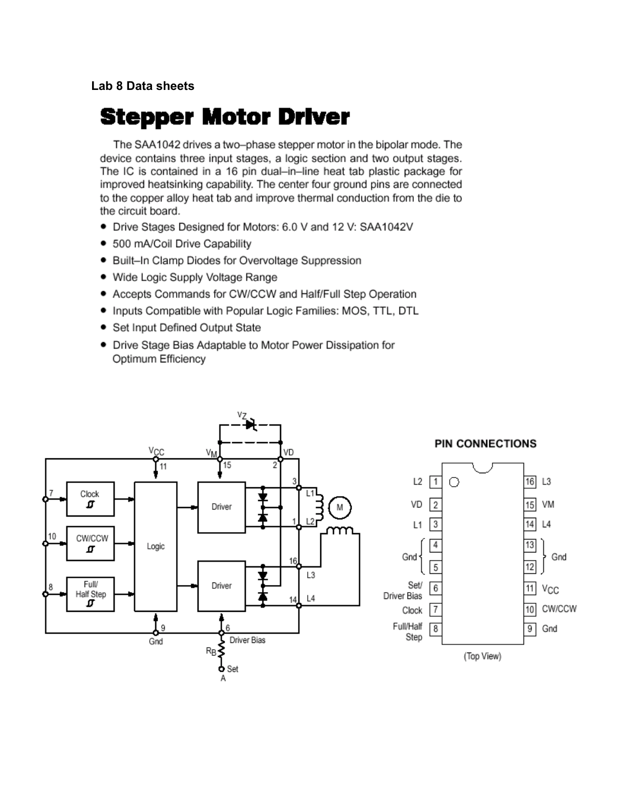# Lab 8 Data sheets

# **Stepper Motor Driver**

The SAA1042 drives a two-phase stepper motor in the bipolar mode. The device contains three input stages, a logic section and two output stages. The IC is contained in a 16 pin dual-in-line heat tab plastic package for improved heatsinking capability. The center four ground pins are connected to the copper alloy heat tab and improve thermal conduction from the die to the circuit board.

- Drive Stages Designed for Motors: 6.0 V and 12 V: SAA1042V
- 500 mA/Coil Drive Capability
- Built-In Clamp Diodes for Overvoltage Suppression
- Wide Logic Supply Voltage Range
- Accepts Commands for CW/CCW and Half/Full Step Operation
- . Inputs Compatible with Popular Logic Families: MOS, TTL, DTL
- Set Input Defined Output State
- Drive Stage Bias Adaptable to Motor Power Dissipation for Optimum Efficiency

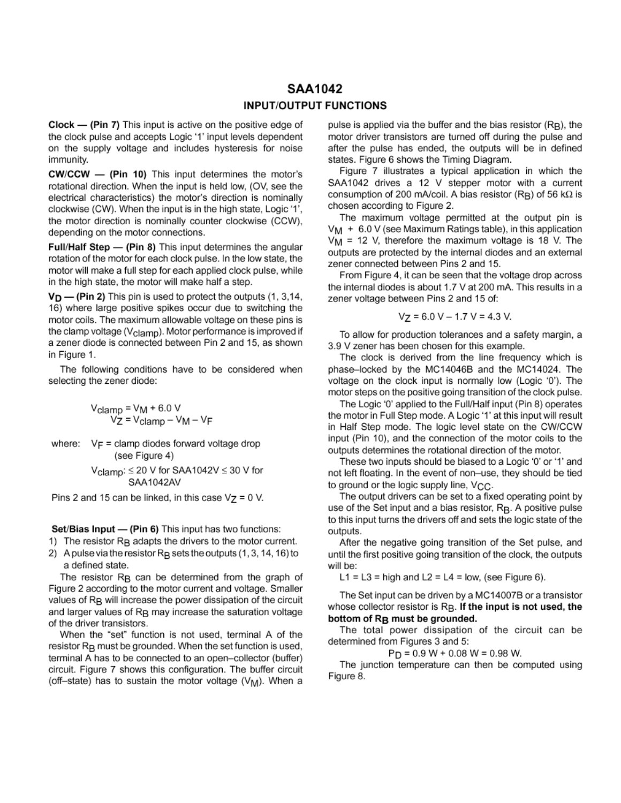### SAA1042 **INPUT/OUTPUT FUNCTIONS**

 $Clock$  - (Pin 7) This input is active on the positive edge of the clock pulse and accepts Logic '1' input levels dependent on the supply voltage and includes hysteresis for noise immunity.

**CW/CCW - (Pin 10)** This input determines the motor's rotational direction. When the input is held low. (OV, see the electrical characteristics) the motor's direction is nominally clockwise (CW). When the input is in the high state, Logic '1'. the motor direction is nominally counter clockwise (CCW). depending on the motor connections.

Full/Half Step - (Pin 8) This input determines the angular rotation of the motor for each clock pulse. In the low state, the motor will make a full step for each applied clock pulse, while in the high state, the motor will make half a step.

 $V_D$  – (Pin 2) This pin is used to protect the outputs (1, 3,14, 16) where large positive spikes occur due to switching the motor coils. The maximum allowable voltage on these pins is the clamp voltage (V<sub>clamp</sub>). Motor performance is improved if a zener diode is connected between Pin 2 and 15, as shown in Figure 1.

The following conditions have to be considered when selecting the zener diode:

$$
V_{\text{clamp}} = V_M + 6.0 V
$$
  

$$
V_Z = V_{\text{clamp}} - V_M - V_F
$$

where:  $V_F =$  clamp diodes forward voltage drop (see Figure 4)

 $V_{\text{clamp}}$ :  $\leq$  20 V for SAA1042V  $\leq$  30 V for SAA1042AV

Pins 2 and 15 can be linked, in this case  $V_Z = 0$  V.

Set/Bias Input - (Pin 6) This input has two functions:

- 1) The resistor R<sub>B</sub> adapts the drivers to the motor current.
- 2) A pulse via the resistor  $R_B$  sets the outputs  $(1, 3, 14, 16)$  to a defined state.

The resistor R<sub>B</sub> can be determined from the graph of Figure 2 according to the motor current and voltage. Smaller values of R<sub>B</sub> will increase the power dissipation of the circuit and larger values of R<sub>B</sub> may increase the saturation voltage of the driver transistors.

When the "set" function is not used, terminal A of the resistor R<sub>B</sub> must be grounded. When the set function is used, terminal A has to be connected to an open-collector (buffer) circuit. Figure 7 shows this configuration. The buffer circuit (off-state) has to sustain the motor voltage (V<sub>M</sub>). When a

pulse is applied via the buffer and the bias resistor (RB), the motor driver transistors are turned off during the pulse and after the pulse has ended, the outputs will be in defined states. Figure 6 shows the Timing Diagram.

Figure 7 illustrates a typical application in which the SAA1042 drives a 12 V stepper motor with a current consumption of 200 mA/coil. A bias resistor (RB) of 56 k $\Omega$  is chosen according to Figure 2.

The maximum voltage permitted at the output pin is  $V_M$  + 6.0 V (see Maximum Ratings table), in this application  $V_M$  = 12 V, therefore the maximum voltage is 18 V. The outputs are protected by the internal diodes and an external zener connected between Pins 2 and 15.

From Figure 4, it can be seen that the voltage drop across the internal diodes is about 1.7 V at 200 mA. This results in a zener voltage between Pins 2 and 15 of:

$$
V_Z = 6.0 V - 1.7 V = 4.3 V.
$$

To allow for production tolerances and a safety margin, a 3.9 V zener has been chosen for this example.

The clock is derived from the line frequency which is phase-locked by the MC14046B and the MC14024. The voltage on the clock input is normally low (Logic '0'). The motor steps on the positive going transition of the clock pulse.

The Logic '0' applied to the Full/Half input (Pin 8) operates the motor in Full Step mode. A Logic '1' at this input will result in Half Step mode. The logic level state on the CW/CCW input (Pin 10), and the connection of the motor coils to the outputs determines the rotational direction of the motor.

These two inputs should be biased to a Logic '0' or '1' and not left floating. In the event of non-use, they should be tied to ground or the logic supply line, V<sub>CC</sub>.

The output drivers can be set to a fixed operating point by use of the Set input and a bias resistor, RB. A positive pulse to this input turns the drivers off and sets the logic state of the outputs.

After the negative going transition of the Set pulse, and until the first positive going transition of the clock, the outputs will be:

L1 = L3 = high and L2 = L4 = low, (see Figure 6).

The Set input can be driven by a MC14007B or a transistor whose collector resistor is R<sub>B</sub>. If the input is not used, the bottom of R<sub>R</sub> must be grounded.

The total power dissipation of the circuit can be determined from Figures 3 and 5:

 $P_D = 0.9 W + 0.08 W = 0.98 W$ .

The junction temperature can then be computed using Figure 8.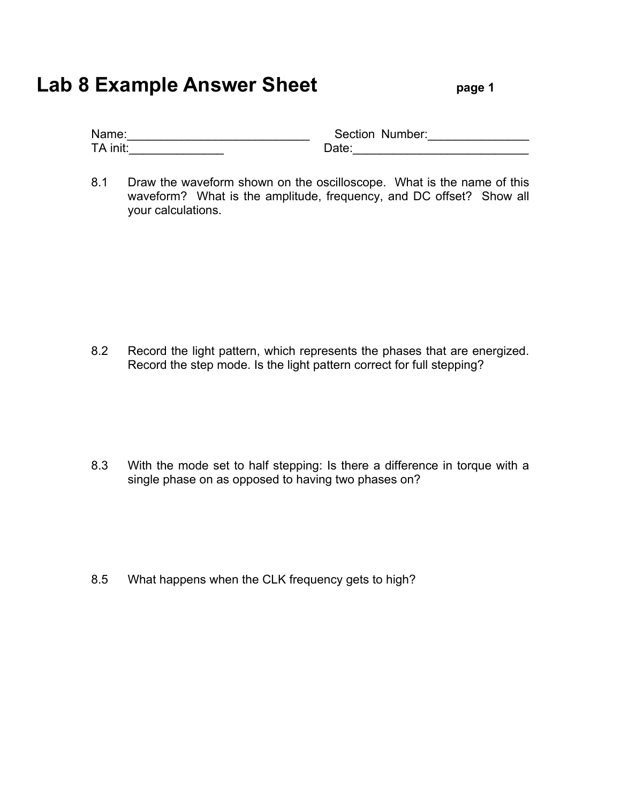# **Lab 8 Example Answer Sheet** page 1

| Name:    | Section Number: |
|----------|-----------------|
| TA init: | Date:           |

8.1 Draw the waveform shown on the oscilloscope. What is the name of this waveform? What is the amplitude, frequency, and DC offset? Show all your calculations.

8.2 Record the light pattern, which represents the phases that are energized. Record the step mode. Is the light pattern correct for full stepping?

8.3 With the mode set to half stepping: Is there a difference in torque with a single phase on as opposed to having two phases on?

8.5 What happens when the CLK frequency gets to high?